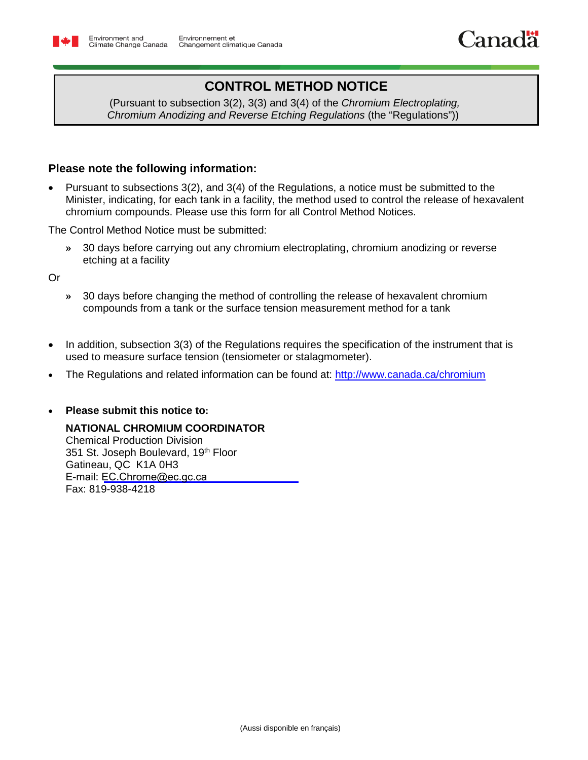

## **CONTROL METHOD NOTICE**

 (Pursuant to subsection 3(2), 3(3) and 3(4) of the *Chromium Electroplating, Chromium Anodizing and Reverse Etching Regulations* (the "Regulations"))

## **Please note the following information:**

 Pursuant to subsections 3(2), and 3(4) of the Regulations, a notice must be submitted to the Minister, indicating, for each tank in a facility, the method used to control the release of hexavalent chromium compounds. Please use this form for all Control Method Notices.

The Control Method Notice must be submitted:

**»** 30 days before carrying out any chromium electroplating, chromium anodizing or reverse etching at a facility

Or

- **»** 30 days before changing the method of controlling the release of hexavalent chromium compounds from a tank or the surface tension measurement method for a tank
- In addition, subsection 3(3) of the Regulations requires the specification of the instrument that is used to measure surface tension (tensiometer or stalagmometer).
- The Regulations and related information can be found at:<http://www.canada.ca/chromium>

## **Please submit this notice to:**

## **NATIONAL CHROMIUM COORDINATOR**

Chemical Production Division 351 St. Joseph Boulevard, 19<sup>th</sup> Floor Gatineau, QC K1A 0H3 E-mail: EC.Chrome@ec.gc.ca Fax: 819-938-4218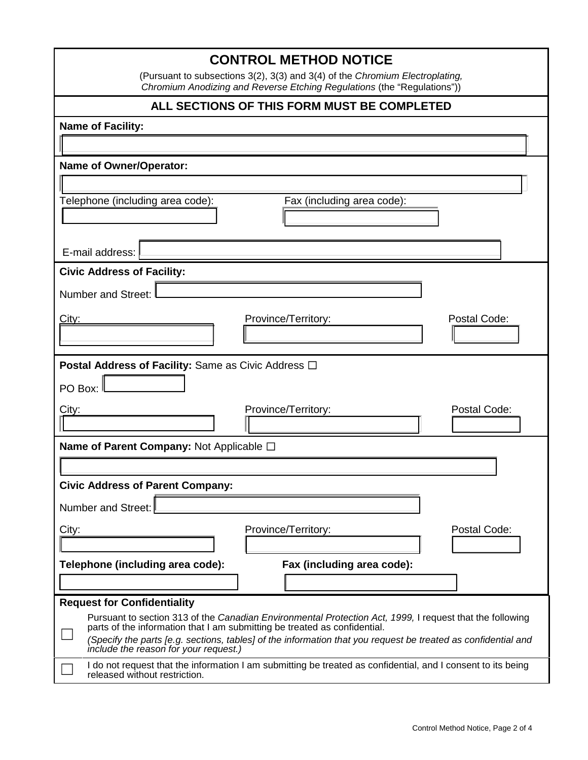| <b>CONTROL METHOD NOTICE</b>                                                                                                                                                          |  |  |  |  |  |
|---------------------------------------------------------------------------------------------------------------------------------------------------------------------------------------|--|--|--|--|--|
| (Pursuant to subsections 3(2), 3(3) and 3(4) of the Chromium Electroplating,<br>Chromium Anodizing and Reverse Etching Regulations (the "Regulations"))                               |  |  |  |  |  |
| ALL SECTIONS OF THIS FORM MUST BE COMPLETED                                                                                                                                           |  |  |  |  |  |
| <b>Name of Facility:</b>                                                                                                                                                              |  |  |  |  |  |
|                                                                                                                                                                                       |  |  |  |  |  |
| <b>Name of Owner/Operator:</b>                                                                                                                                                        |  |  |  |  |  |
|                                                                                                                                                                                       |  |  |  |  |  |
| Telephone (including area code):<br>Fax (including area code):                                                                                                                        |  |  |  |  |  |
|                                                                                                                                                                                       |  |  |  |  |  |
| E-mail address:                                                                                                                                                                       |  |  |  |  |  |
| <b>Civic Address of Facility:</b>                                                                                                                                                     |  |  |  |  |  |
| Number and Street:                                                                                                                                                                    |  |  |  |  |  |
| Postal Code:<br>Province/Territory:<br><u>City:</u>                                                                                                                                   |  |  |  |  |  |
|                                                                                                                                                                                       |  |  |  |  |  |
|                                                                                                                                                                                       |  |  |  |  |  |
| <b>Postal Address of Facility:</b> Same as Civic Address $\Box$                                                                                                                       |  |  |  |  |  |
| PO Box: I                                                                                                                                                                             |  |  |  |  |  |
| Postal Code:<br>City:<br>Province/Territory:                                                                                                                                          |  |  |  |  |  |
| Name of Parent Company: Not Applicable □                                                                                                                                              |  |  |  |  |  |
|                                                                                                                                                                                       |  |  |  |  |  |
| <b>Civic Address of Parent Company:</b>                                                                                                                                               |  |  |  |  |  |
| <b>Number and Street:</b>                                                                                                                                                             |  |  |  |  |  |
| Postal Code:<br>Province/Territory:<br>City:                                                                                                                                          |  |  |  |  |  |
|                                                                                                                                                                                       |  |  |  |  |  |
| Telephone (including area code):<br>Fax (including area code):                                                                                                                        |  |  |  |  |  |
|                                                                                                                                                                                       |  |  |  |  |  |
| <b>Request for Confidentiality</b>                                                                                                                                                    |  |  |  |  |  |
| Pursuant to section 313 of the Canadian Environmental Protection Act, 1999, I request that the following<br>parts of the information that I am submitting be treated as confidential. |  |  |  |  |  |
| (Specify the parts [e.g. sections, tables] of the information that you request be treated as confidential and<br>include the reason for your request.)                                |  |  |  |  |  |
| I do not request that the information I am submitting be treated as confidential, and I consent to its being<br>released without restriction.                                         |  |  |  |  |  |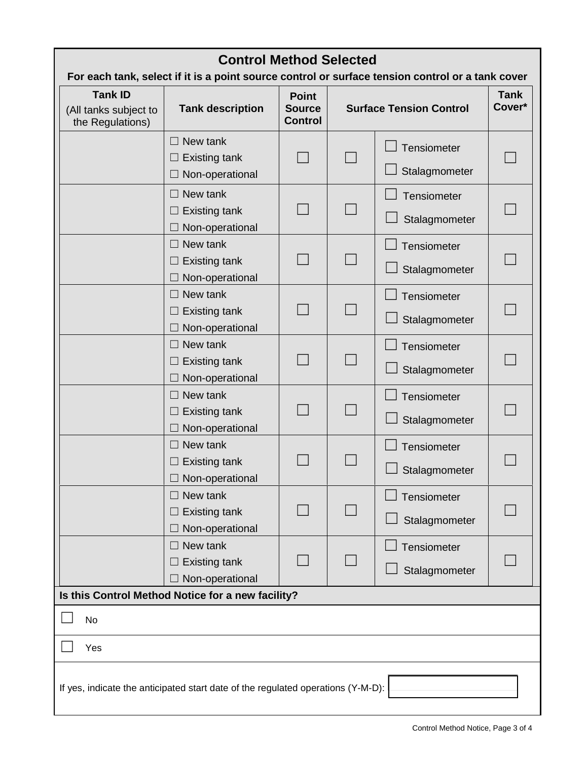<span id="page-2-0"></span>

| <b>Control Method Selected</b>                                                                   |                                                                   |                                                 |                                |                              |                       |  |
|--------------------------------------------------------------------------------------------------|-------------------------------------------------------------------|-------------------------------------------------|--------------------------------|------------------------------|-----------------------|--|
| For each tank, select if it is a point source control or surface tension control or a tank cover |                                                                   |                                                 |                                |                              |                       |  |
| <b>Tank ID</b><br>(All tanks subject to<br>the Regulations)                                      | <b>Tank description</b>                                           | <b>Point</b><br><b>Source</b><br><b>Control</b> | <b>Surface Tension Control</b> |                              | <b>Tank</b><br>Cover* |  |
|                                                                                                  | $\Box$ New tank<br><b>Existing tank</b><br>Non-operational        |                                                 |                                | Tensiometer<br>Stalagmometer |                       |  |
|                                                                                                  | $\Box$ New tank<br><b>Existing tank</b><br>Non-operational        |                                                 |                                | Tensiometer<br>Stalagmometer |                       |  |
|                                                                                                  | $\Box$ New tank<br><b>Existing tank</b><br>Non-operational        |                                                 |                                | Tensiometer<br>Stalagmometer |                       |  |
|                                                                                                  | New tank<br><b>Existing tank</b><br>Non-operational               |                                                 |                                | Tensiometer<br>Stalagmometer |                       |  |
|                                                                                                  | New tank<br><b>Existing tank</b><br>Non-operational               |                                                 |                                | Tensiometer<br>Stalagmometer |                       |  |
|                                                                                                  | $\Box$ New tank<br><b>Existing tank</b><br>Non-operational        |                                                 |                                | Tensiometer<br>Stalagmometer |                       |  |
|                                                                                                  | $\Box$ New tank<br><b>Existing tank</b><br>$\Box$ Non-operational |                                                 |                                | Tensiometer<br>Stalagmometer |                       |  |
|                                                                                                  | New tank<br><b>Existing tank</b><br>Non-operational               |                                                 |                                | Tensiometer<br>Stalagmometer |                       |  |
|                                                                                                  | $\Box$ New tank<br><b>Existing tank</b><br>Non-operational        |                                                 |                                | Tensiometer<br>Stalagmometer |                       |  |
| Is this Control Method Notice for a new facility?                                                |                                                                   |                                                 |                                |                              |                       |  |
| No<br>Yes                                                                                        |                                                                   |                                                 |                                |                              |                       |  |
| If yes, indicate the anticipated start date of the regulated operations (Y-M-D):                 |                                                                   |                                                 |                                |                              |                       |  |